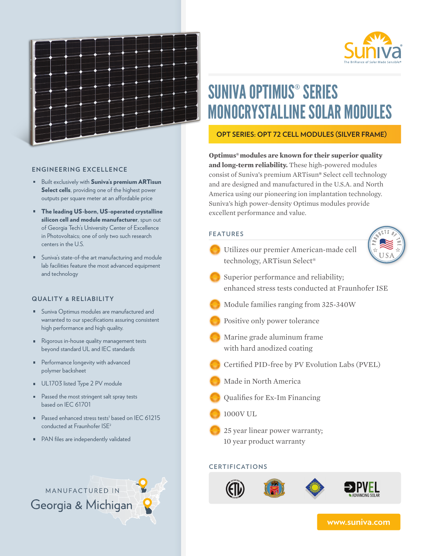

# SUNIVA OPTIMUS® SERIES MONOCRYSTALLINE SOLAR MODULES

**OPT SERIES: OPT 72 CELL MODULES (SILVER FRAME)**

**Optimus®modules are known for their superior quality and long-term reliability.** These high-powered modules consist of Suniva's premium ARTisun**®** Select cell technology and are designed and manufactured in the U.S.A. and North America using our pioneering ion implantation technology. Suniva's high power-density Optimus modules provide excellent performance and value.

## **FEATURES**

Utilizes our premier American-made cell technology, ARTisun Select®



- Superior performance and reliability; enhanced stress tests conducted at Fraunhofer ISE
- Module families ranging from 325-340W
- Positive only power tolerance
- Marine grade aluminum frame with hard anodized coating
- Certified PID-free by PV Evolution Labs (PVEL)
- Made in North America
- Qualifies for Ex-Im Financing
- 1000V UL

25 year linear power warranty; 10 year product warranty

## **CERTIFICATIONS**



**www.suniva.com**

**ENGINEERING EXCELLENCE**

- **Built exclusively with Suniva's premium ARTisun** Select cells, providing one of the highest power outputs per square meter at an affordable price
- The leading US-born, US-operated crystalline silicon cell and module manufacturer, spun out of Georgia Tech's University Center of Excellence in Photovoltaics; one of only two such research centers in the U.S.
- Suniva's state-of-the art manufacturing and module lab facilities feature the most advanced equipment and technology

#### **QUALITY & RELIABILITY**

- **Suniva Optimus modules are manufactured and** warranted to our specifications assuring consistent high performance and high quality.
- Rigorous in-house quality management tests beyond standard UL and IEC standards
- **Performance longevity with advanced** polymer backsheet
- UL1703 listed Type 2 PV module
- $\blacksquare$ Passed the most stringent salt spray tests based on IEC 61701
- Passed enhanced stress tests<sup>1</sup> based on IEC 61215 conducted at Fraunhofer ISE<sup>2</sup>
- **PAN** files are independently validated

MANUFACTURED IN

Georgia & Michigan